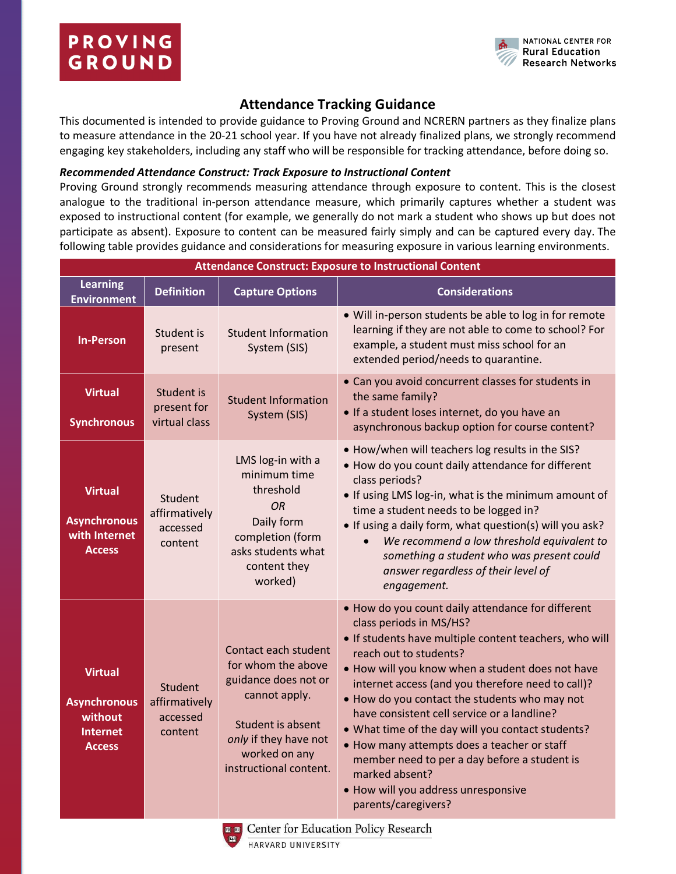

## **Attendance Tracking Guidance**

This documented is intended to provide guidance to Proving Ground and NCRERN partners as they finalize plans to measure attendance in the 20-21 school year. If you have not already finalized plans, we strongly recommend engaging key stakeholders, including any staff who will be responsible for tracking attendance, before doing so.

## *Recommended Attendance Construct: Track Exposure to Instructional Content*

Proving Ground strongly recommends measuring attendance through exposure to content. This is the closest analogue to the traditional in-person attendance measure, which primarily captures whether a student was exposed to instructional content (for example, we generally do not mark a student who shows up but does not participate as absent). Exposure to content can be measured fairly simply and can be captured every day. The following table provides guidance and considerations for measuring exposure in various learning environments.

| <b>Attendance Construct: Exposure to Instructional Content</b>                       |                                                        |                                                                                                                                                                              |                                                                                                                                                                                                                                                                                                                                                                                                                                                                                                                                                                                                               |  |  |
|--------------------------------------------------------------------------------------|--------------------------------------------------------|------------------------------------------------------------------------------------------------------------------------------------------------------------------------------|---------------------------------------------------------------------------------------------------------------------------------------------------------------------------------------------------------------------------------------------------------------------------------------------------------------------------------------------------------------------------------------------------------------------------------------------------------------------------------------------------------------------------------------------------------------------------------------------------------------|--|--|
| <b>Learning</b><br><b>Environment</b>                                                | <b>Definition</b>                                      | <b>Capture Options</b>                                                                                                                                                       | <b>Considerations</b>                                                                                                                                                                                                                                                                                                                                                                                                                                                                                                                                                                                         |  |  |
| <b>In-Person</b>                                                                     | Student is<br>present                                  | <b>Student Information</b><br>System (SIS)                                                                                                                                   | • Will in-person students be able to log in for remote<br>learning if they are not able to come to school? For<br>example, a student must miss school for an<br>extended period/needs to quarantine.                                                                                                                                                                                                                                                                                                                                                                                                          |  |  |
| <b>Virtual</b><br><b>Synchronous</b>                                                 | Student is<br>present for<br>virtual class             | <b>Student Information</b><br>System (SIS)                                                                                                                                   | • Can you avoid concurrent classes for students in<br>the same family?<br>• If a student loses internet, do you have an<br>asynchronous backup option for course content?                                                                                                                                                                                                                                                                                                                                                                                                                                     |  |  |
| <b>Virtual</b><br><b>Asynchronous</b><br>with Internet<br><b>Access</b>              | Student<br>affirmatively<br>accessed<br>content        | LMS log-in with a<br>minimum time<br>threshold<br>OR<br>Daily form<br>completion (form<br>asks students what<br>content they<br>worked)                                      | . How/when will teachers log results in the SIS?<br>. How do you count daily attendance for different<br>class periods?<br>. If using LMS log-in, what is the minimum amount of<br>time a student needs to be logged in?<br>• If using a daily form, what question(s) will you ask?<br>We recommend a low threshold equivalent to<br>something a student who was present could<br>answer regardless of their level of<br>engagement.                                                                                                                                                                          |  |  |
| <b>Virtual</b><br><b>Asynchronous</b><br>without<br><b>Internet</b><br><b>Access</b> | <b>Student</b><br>affirmatively<br>accessed<br>content | Contact each student<br>for whom the above<br>guidance does not or<br>cannot apply.<br>Student is absent<br>only if they have not<br>worked on any<br>instructional content. | . How do you count daily attendance for different<br>class periods in MS/HS?<br>• If students have multiple content teachers, who will<br>reach out to students?<br>. How will you know when a student does not have<br>internet access (and you therefore need to call)?<br>. How do you contact the students who may not<br>have consistent cell service or a landline?<br>• What time of the day will you contact students?<br>• How many attempts does a teacher or staff<br>member need to per a day before a student is<br>marked absent?<br>· How will you address unresponsive<br>parents/caregivers? |  |  |
|                                                                                      | <b>Even Center for Education Policy Research</b>       |                                                                                                                                                                              |                                                                                                                                                                                                                                                                                                                                                                                                                                                                                                                                                                                                               |  |  |



r for equeation policy research